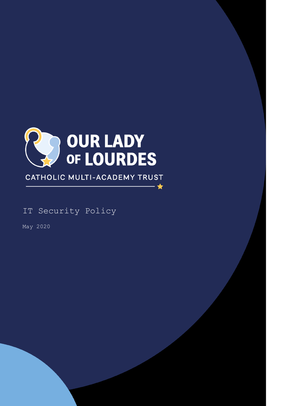

CATHOLIC MULTI-ACADEMY TRUST

– ★

IT Security Policy

May 2020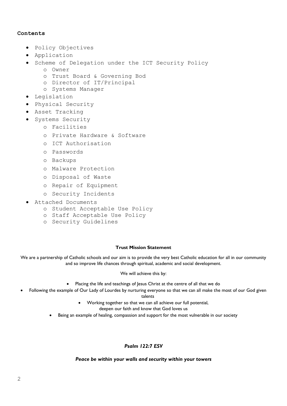# **Contents**

- Policy Objectives
- Application
- Scheme of Delegation under the ICT Security Policy
	- o Owner
	- o Trust Board & Governing Bod
	- o Director of IT/Principal
	- o Systems Manager
- Legislation
- Physical Security
- Asset Tracking
- **·** Systems Security
	- o Facilities
	- o Private Hardware & Software
	- o ICT Authorisation
	- o Passwords
	- o Backups
	- o Malware Protection
	- o Disposal of Waste
	- o Repair of Equipment
	- o Security Incidents
- Attached Documents
	- o Student Acceptable Use Policy
	- o Staff Acceptable Use Policy
	- o Security Guidelines

#### **Trust Mission Statement**

We are a partnership of Catholic schools and our aim is to provide the very best Catholic education for all in our community and so improve life chances through spiritual, academic and social development.

#### We will achieve this by:

- Placing the life and teachings of Jesus Christ at the centre of all that we do
- Following the example of Our Lady of Lourdes by nurturing everyone so that we can all make the most of our God given

talents

Working together so that we can all achieve our full potential,

deepen our faith and know that God loves us

Being an example of healing, compassion and support for the most vulnerable in our society

# *Psalm 122:7 ESV*

*Peace be within your walls and security within your towers*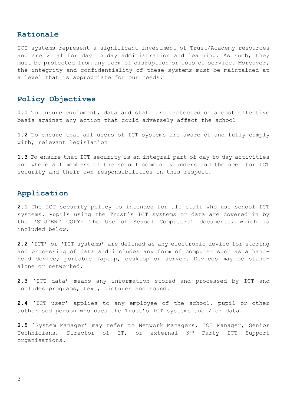# **Rationale**

ICT systems represent a significant investment of Trust/Academy resources and are vital for day to day administration and learning. As such, they must be protected from any form of disruption or loss of service. Moreover, the integrity and confidentiality of these systems must be maintained at a level that is appropriate for our needs.

# **Policy Objectives**

**1.1** To ensure equipment, data and staff are protected on a cost effective basis against any action that could adversely affect the school

**1.2** To ensure that all users of ICT systems are aware of and fully comply with, relevant legislation

**1.3** To ensure that ICT security is an integral part of day to day activities and where all members of the school community understand the need for ICT security and their own responsibilities in this respect.

# **Application**

**2.1** The ICT security policy is intended for all staff who use school ICT systems. Pupils using the Trust's ICT systems or data are covered in by the 'STUDENT COPY: The Use of School Computers' documents, which is included below.

**2.2** 'ICT' or 'ICT systems' are defined as any electronic device for storing and processing of data and includes any form of computer such as a handheld device; portable laptop, desktop or server. Devices may be standalone or networked.

**2.3** 'ICT data' means any information stored and processed by ICT and includes programs, text, pictures and sound.

**2.4** 'ICT user' applies to any employee of the school, pupil or other authorised person who uses the Trust's ICT systems and / or data.

**2.5** 'System Manager' may refer to Network Managers, ICT Manager, Senior Technicians, Director of IT, or external 3rd Party ICT Support organisations.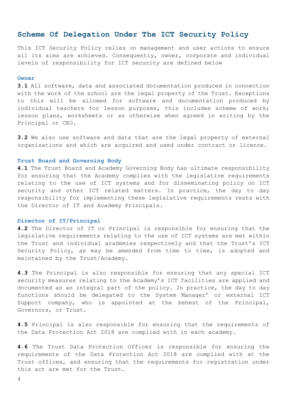# **Scheme Of Delegation Under The ICT Security Policy**

This ICT Security Policy relies on management and user actions to ensure all its aims are achieved. Consequently, owner, corporate and individual levels of responsibility for ICT security are defined below

#### **Owner**

**3.1** All software, data and associated documentation produced in connection with the work of the school are the legal property of the Trust. Exceptions to this will be allowed for software and documentation produced by individual teachers for lesson purposes, this includes scheme of work; lesson plans, worksheets or as otherwise when agreed in writing by the Principal or CEO.

**3.2** We also use software and data that are the legal property of external organisations and which are acquired and used under contract or licence.

#### **Trust Board and Governing Body**

**4.1** The Trust Board and Academy Governing Body has ultimate responsibility for ensuring that the Academy complies with the legislative requirements relating to the use of ICT systems and for disseminating policy on ICT security and other ICT related matters. In practice, the day to day responsibility for implementing these legislative requirements rests with the Director of IT and Academy Principals.

## **Director of IT/Principal**

**4.2** The Director of IT or Principal is responsible for ensuring that the legislative requirements relating to the use of ICT systems are met within the Trust and individual academies respectively and that the Trust's ICT Security Policy, as may be amended from time to time, is adopted and maintained by the Trust/Academy.

**4.3** The Principal is also responsible for ensuring that any special ICT security measures relating to the Academy's ICT facilities are applied and documented as an integral part of the policy. In practice, the day to day functions should be delegated to the System Manager' or external ICT Support company, who is appointed at the behest of the Principal, Governors, or Trust.

**4.5** Principal is also responsible for ensuring that the requirements of the Data Protection Act 2018 are complied with in each academy.

**4.6** The Trust Data Protection Officer is responsible for ensuring the requirements of the Data Protection Act 2018 are complied with at the Trust offices, and ensuring that the requirements for registration under this act are met for the Trust.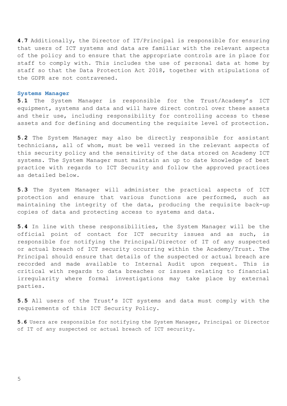**4.7** Additionally, the Director of IT/Principal is responsible for ensuring that users of ICT systems and data are familiar with the relevant aspects of the policy and to ensure that the appropriate controls are in place for staff to comply with. This includes the use of personal data at home by staff so that the Data Protection Act 2018, together with stipulations of the GDPR are not contravened.

#### **Systems Manager**

**5.1** The System Manager is responsible for the Trust/Academy's ICT equipment, systems and data and will have direct control over these assets and their use, including responsibility for controlling access to these assets and for defining and documenting the requisite level of protection.

**5.2** The System Manager may also be directly responsible for assistant technicians, all of whom, must be well versed in the relevant aspects of this security policy and the sensitivity of the data stored on Academy ICT systems. The System Manager must maintain an up to date knowledge of best practice with regards to ICT Security and follow the approved practices as detailed below.

**5.3** The System Manager will administer the practical aspects of ICT protection and ensure that various functions are performed, such as maintaining the integrity of the data, producing the requisite back-up copies of data and protecting access to systems and data.

**5.4** In line with these responsibilities, the System Manager will be the official point of contact for ICT security issues and as such, is responsible for notifying the Principal/Director of IT of any suspected or actual breach of ICT security occurring within the Academy/Trust. The Principal should ensure that details of the suspected or actual breach are recorded and made available to Internal Audit upon request. This is critical with regards to data breaches or issues relating to financial irregularity where formal investigations may take place by external parties.

**5.5** All users of the Trust's ICT systems and data must comply with the requirements of this ICT Security Policy.

**5.6** Users are responsible for notifying the System Manager, Principal or Director of IT of any suspected or actual breach of ICT security.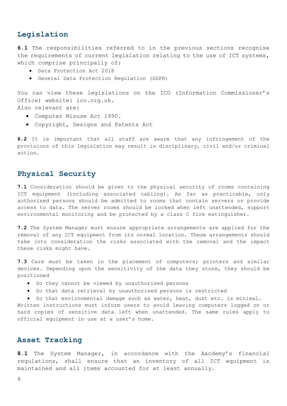# **Legislation**

**6.1** The responsibilities referred to in the previous sections recognise the requirements of current legislation relating to the use of ICT systems, which comprise principally of:

- Data Protection Act 2018
- General Data Protection Regulation (GDPR)

You can view these legislations on the ICO (Information Commissioner's Office) website: ico.org.uk.

Also relevant are:

- Computer Misuse Act 1990.
- Copyright, Designs and Patents Act

**6.2** It is important that all staff are aware that any infringement of the provisions of this legislation may result in disciplinary, civil and/or criminal action.

# **Physical Security**

**7.1** Consideration should be given to the physical security of rooms containing ICT equipment (including associated cabling). As far as practicable, only authorised persons should be admitted to rooms that contain servers or provide access to data. The server rooms should be locked when left unattended, support environmental monitoring and be protected by a class C fire extinguisher.

**7.2** The System Manager must ensure appropriate arrangements are applied for the removal of any ICT equipment from its normal location. These arrangements should take into consideration the risks associated with the removal and the impact these risks might have.

**7.3** Care must be taken in the placement of computers; printers and similar devices. Depending upon the sensitivity of the data they store, they should be positioned

So they cannot be viewed by unauthorised persons

official equipment in use at a user's home.

So that data retrieval by unauthorised persons is restricted

 So that environmental damage such as water, heat, dust etc. is minimal. Written instructions must inform users to avoid leaving computers logged on or hard copies of sensitive data left when unattended. The same rules apply to

# **Asset Tracking**

**8.1** The System Manager, in accordance with the Aacdemy's financial regulations, shall ensure that an inventory of all ICT equipment is maintained and all items accounted for at least annually.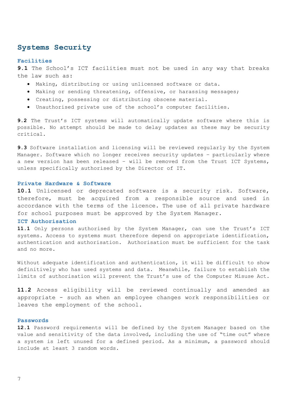# **Systems Security**

## **Facilities**

**9.1** The School's ICT facilities must not be used in any way that breaks the law such as:

- Making, distributing or using unlicensed software or data.
- Making or sending threatening, offensive, or harassing messages;
- Creating, possessing or distributing obscene material.
- Unauthorised private use of the school's computer facilities.

**9.2** The Trust's ICT systems will automatically update software where this is possible. No attempt should be made to delay updates as these may be security critical.

**9.3** Software installation and licensing will be reviewed regularly by the System Manager. Software which no longer receives security updates – particularly where a new version has been released – will be removed from the Trust ICT Systems, unless specifically authorised by the Director of IT.

## **Private Hardware & Software**

**10.1** Unlicensed or deprecated software is a security risk. Software, therefore, must be acquired from a responsible source and used in accordance with the terms of the licence. The use of all private hardware for school purposes must be approved by the System Manager.

## **ICT Authorisation**

**11.1** Only persons authorised by the System Manager, can use the Trust's ICT systems. Access to systems must therefore depend on appropriate identification, authentication and authorisation. Authorisation must be sufficient for the task and no more.

Without adequate identification and authentication, it will be difficult to show definitively who has used systems and data. Meanwhile, failure to establish the limits of authorisation will prevent the Trust's use of the Computer Misuse Act.

**11.2** Access eligibility will be reviewed continually and amended as appropriate - such as when an employee changes work responsibilities or leaves the employment of the school.

#### **Passwords**

**12.1** Password requirements will be defined by the System Manager based on the value and sensitivity of the data involved, including the use of "time out" where a system is left unused for a defined period. As a minimum, a password should include at least 3 random words.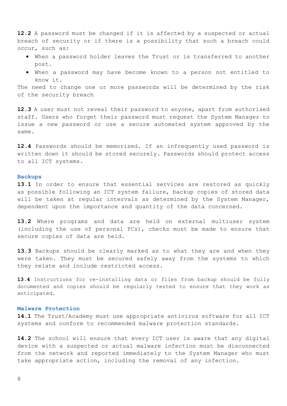**12.2** A password must be changed if it is affected by a suspected or actual breach of security or if there is a possibility that such a breach could occur, such as:

- When a password holder leaves the Trust or is transferred to another post.
- When a password may have become known to a person not entitled to know it.

The need to change one or more passwords will be determined by the risk of the security breach

**12.3** A user must not reveal their password to anyone, apart from authorised staff. Users who forget their password must request the System Manager to issue a new password or use a secure automated system approved by the same.

**12.4** Passwords should be memorised. If an infrequently used password is written down it should be stored securely. Passwords should protect access to all ICT systems.

## **Backups**

**13.1** In order to ensure that essential services are restored as quickly as possible following an ICT system failure, backup copies of stored data will be taken at regular intervals as determined by the System Manager, dependent upon the importance and quantity of the data concerned.

**13.2** Where programs and data are held on external multiuser system (including the use of personal PCs), checks must be made to ensure that secure copies of data are held.

**13.3** Backups should be clearly marked as to what they are and when they were taken. They must be secured safely away from the systems to which they relate and include restricted access.

**13.4** Instructions for re-installing data or files from backup should be fully documented and copies should be regularly tested to ensure that they work as anticipated.

# **Malware Protection**

**14.1** The Trust/Academy must use appropriate antivirus software for all ICT systems and conform to recommended malware protection standards.

**14.2** The school will ensure that every ICT user is aware that any digital device with a suspected or actual malware infection must be disconnected from the network and reported immediately to the System Manager who must take appropriate action, including the removal of any infection.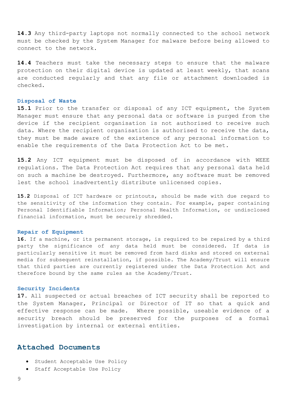**14.3** Any third-party laptops not normally connected to the school network must be checked by the System Manager for malware before being allowed to connect to the network.

**14.4** Teachers must take the necessary steps to ensure that the malware protection on their digital device is updated at least weekly, that scans are conducted regularly and that any file or attachment downloaded is checked.

#### **Disposal of Waste**

**15.1** Prior to the transfer or disposal of any ICT equipment, the System Manager must ensure that any personal data or software is purged from the device if the recipient organisation is not authorised to receive such data. Where the recipient organisation is authorised to receive the data, they must be made aware of the existence of any personal information to enable the requirements of the Data Protection Act to be met.

**15.2** Any ICT equipment must be disposed of in accordance with WEEE regulations. The Data Protection Act requires that any personal data held on such a machine be destroyed. Furthermore, any software must be removed lest the school inadvertently distribute unlicensed copies.

**15.2** Disposal of ICT hardware or printouts, should be made with due regard to the sensitivity of the information they contain. For example, paper containing Personal Identifiable Information; Personal Health Information, or undisclosed financial information, must be securely shredded.

#### **Repair of Equipment**

**16.** If a machine, or its permanent storage, is required to be repaired by a third party the significance of any data held must be considered. If data is particularly sensitive it must be removed from hard disks and stored on external media for subsequent reinstallation, if possible. The Academy/Trust will ensure that third parties are currently registered under the Data Protection Act and therefore bound by the same rules as the Academy/Trust.

# **Security Incidents**

**17.** All suspected or actual breaches of ICT security shall be reported to the System Manager, Principal or Director of IT so that a quick and effective response can be made. Where possible, useable evidence of a security breach should be preserved for the purposes of a formal investigation by internal or external entities.

# **Attached Documents**

- Student Acceptable Use Policy
- Staff Acceptable Use Policy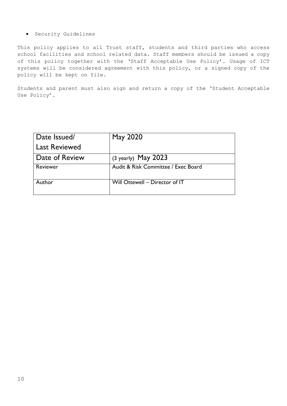# Security Guidelines

This policy applies to all Trust staff, students and third parties who access school facilities and school related data. Staff members should be issued a copy of this policy together with the 'Staff Acceptable Use Policy'. Usage of ICT systems will be considered agreement with this policy, or a signed copy of the policy will be kept on file.

Students and parent must also sign and return a copy of the 'Student Acceptable Use Policy'.

| Date Issued/         | May 2020                            |
|----------------------|-------------------------------------|
| <b>Last Reviewed</b> |                                     |
| Date of Review       | $(3 \text{ yearly})$ May 2023       |
| Reviewer             | Audit & Risk Committee / Exec Board |
| Author               | Will Ottewell - Director of IT      |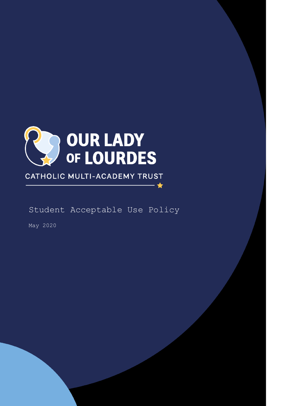

CATHOLIC MULTI-ACADEMY TRUST

Student Acceptable Use Policy

- ★

May 2020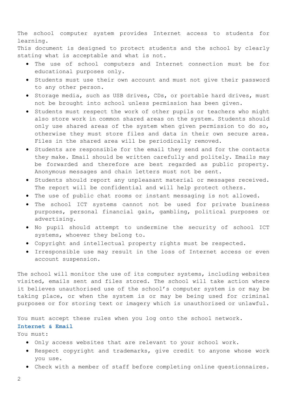The school computer system provides Internet access to students for learning.

This document is designed to protect students and the school by clearly stating what is acceptable and what is not.

- The use of school computers and Internet connection must be for educational purposes only.
- Students must use their own account and must not give their password to any other person.
- Storage media, such as USB drives, CDs, or portable hard drives, must not be brought into school unless permission has been given.
- Students must respect the work of other pupils or teachers who might also store work in common shared areas on the system. Students should only use shared areas of the system when given permission to do so, otherwise they must store files and data in their own secure area. Files in the shared area will be periodically removed.
- Students are responsible for the email they send and for the contacts they make. Email should be written carefully and politely. Emails may be forwarded and therefore are best regarded as public property. Anonymous messages and chain letters must not be sent.
- **•** Students should report any unpleasant material or messages received. The report will be confidential and will help protect others.
- The use of public chat rooms or instant messaging is not allowed.
- The school ICT systems cannot not be used for private business purposes, personal financial gain, gambling, political purposes or advertising.
- No pupil should attempt to undermine the security of school ICT systems, whoever they belong to.
- Copyright and intellectual property rights must be respected.
- Irresponsible use may result in the loss of Internet access or even account suspension.

The school will monitor the use of its computer systems, including websites visited, emails sent and files stored. The school will take action where it believes unauthorised use of the school's computer system is or may be taking place, or when the system is or may be being used for criminal purposes or for storing text or imagery which is unauthorised or unlawful.

You must accept these rules when you log onto the school network.

# **Internet & Email**

You must:

- Only access websites that are relevant to your school work.
- Respect copyright and trademarks, give credit to anyone whose work you use.
- Check with a member of staff before completing online questionnaires.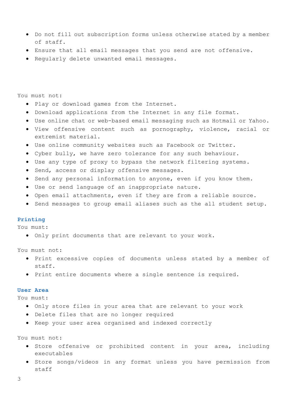- Do not fill out subscription forms unless otherwise stated by a member of staff.
- Ensure that all email messages that you send are not offensive.
- Regularly delete unwanted email messages.

You must not:

- Play or download games from the Internet.
- Download applications from the Internet in any file format.
- Use online chat or web-based email messaging such as Hotmail or Yahoo.
- View offensive content such as pornography, violence, racial or extremist material.
- Use online community websites such as Facebook or Twitter.
- Cyber bully, we have zero tolerance for any such behaviour.
- Use any type of proxy to bypass the network filtering systems.
- **•** Send, access or display offensive messages.
- Send any personal information to anyone, even if you know them.
- Use or send language of an inappropriate nature.
- Open email attachments, even if they are from a reliable source.
- Send messages to group email aliases such as the all student setup.

#### **Printing**

You must:

Only print documents that are relevant to your work.

You must not:

- Print excessive copies of documents unless stated by a member of staff.
- Print entire documents where a single sentence is required.

# **User Area**

You must:

- Only store files in your area that are relevant to your work
- Delete files that are no longer required
- Keep your user area organised and indexed correctly

You must not:

- . Store offensive or prohibited content in your area, including executables
- Store songs/videos in any format unless you have permission from staff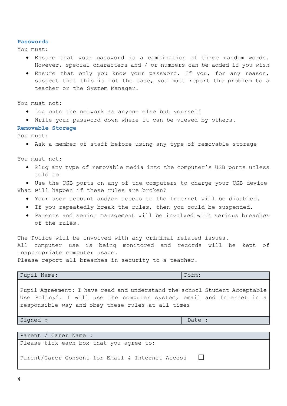#### **Passwords**

You must:

- Ensure that your password is a combination of three random words. However, special characters and / or numbers can be added if you wish
- Ensure that only you know your password. If you, for any reason, suspect that this is not the case, you must report the problem to a teacher or the System Manager.

You must not:

- Log onto the network as anyone else but yourself
- Write your password down where it can be viewed by others.

# **Removable Storage**

You must:

Ask a member of staff before using any type of removable storage

You must not:

• Plug any type of removable media into the computer's USB ports unless told to

 Use the USB ports on any of the computers to charge your USB device What will happen if these rules are broken?

- Your user account and/or access to the Internet will be disabled.
- If you repeatedly break the rules, then you could be suspended.
- Parents and senior management will be involved with serious breaches of the rules.

The Police will be involved with any criminal related issues. All computer use is being monitored and records will be kept of inappropriate computer usage.

Please report all breaches in security to a teacher.

Pupil Name: Form:

Pupil Agreement: I have read and understand the school Student Acceptable Use Policy'. I will use the computer system, email and Internet in a responsible way and obey these rules at all times

Signed :  $\Box$ 

Parent / Carer Name : Please tick each box that you agree to: Parent/Carer Consent for Email & Internet Access  $\Box$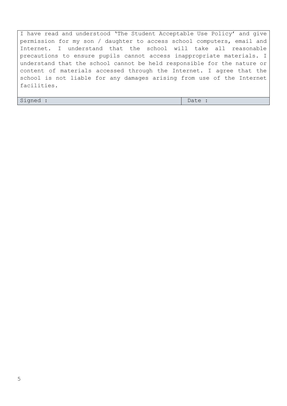I have read and understood 'The Student Acceptable Use Policy' and give permission for my son / daughter to access school computers, email and Internet. I understand that the school will take all reasonable precautions to ensure pupils cannot access inappropriate materials. I understand that the school cannot be held responsible for the nature or content of materials accessed through the Internet. I agree that the school is not liable for any damages arising from use of the Internet facilities.

Signed :  $\Box$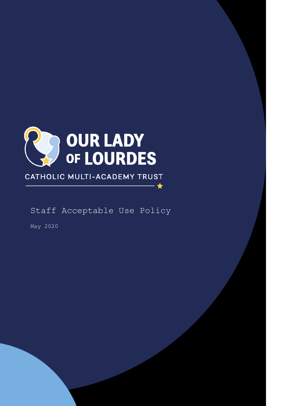

# CATHOLIC MULTI-ACADEMY TRUST

Staff Acceptable Use Policy

- ★

May 2020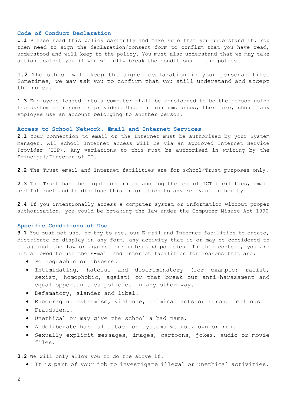#### **Code of Conduct Declaration**

**1.1** Please read this policy carefully and make sure that you understand it. You then need to sign the declaration/consent form to confirm that you have read, understood and will keep to the policy. You must also understand that we may take action against you if you wilfully break the conditions of the policy

**1.2** The school will keep the signed declaration in your personal file. Sometimes, we may ask you to confirm that you still understand and accept the rules.

**1.3** Employees logged into a computer shall be considered to be the person using the system or resources provided. Under no circumstances, therefore, should any employee use an account belonging to another person.

#### **Access to School Network, Email and Internet Services**

**2.1** Your connection to email or the Internet must be authorised by your System Manager. All school Internet access will be via an approved Internet Service Provider (ISP). Any variations to this must be authorised in writing by the Principal/Director of IT.

**2.2** The Trust email and Internet facilities are for school/Trust purposes only.

**2.3** The Trust has the right to monitor and log the use of ICT facilities, email and Internet and to disclose this information to any relevant authority

**2.4** If you intentionally access a computer system or information without proper authorisation, you could be breaking the law under the Computer Misuse Act 1990

#### **Specific Conditions of Use**

**3.1** You must not use, or try to use, our E-mail and Internet facilities to create, distribute or display in any form, any activity that is or may be considered to be against the law or against our rules and policies. In this context, you are not allowed to use the E-mail and Internet facilities for reasons that are:

- Pornographic or obscene.
- Intimidating, hateful and discriminatory (for example; racist, sexist, homophobic, ageist) or that break our anti-harassment and equal opportunities policies in any other way.
- Defamatory, slander and libel.
- Encouraging extremism, violence, criminal acts or strong feelings.
- Fraudulent.
- Unethical or may give the school a bad name.
- A deliberate harmful attack on systems we use, own or run.
- Sexually explicit messages, images, cartoons, jokes, audio or movie files.

**3.2** We will only allow you to do the above if:

It is part of your job to investigate illegal or unethical activities.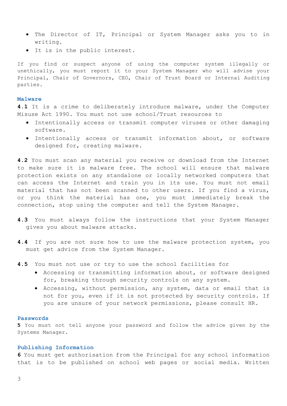- The Director of IT, Principal or System Manager asks you to in writing.
- It is in the public interest.

If you find or suspect anyone of using the computer system illegally or unethically, you must report it to your System Manager who will advise your Principal, Chair of Governors, CEO, Chair of Trust Board or Internal Auditing parties.

#### **Malware**

**4.1** It is a crime to deliberately introduce malware, under the Computer Misuse Act 1990. You must not use school/Trust resources to

- Intentionally access or transmit computer viruses or other damaging software.
- Intentionally access or transmit information about, or software designed for, creating malware.

**4.2** You must scan any material you receive or download from the Internet to make sure it is malware free. The school will ensure that malware protection exists on any standalone or locally networked computers that can access the Internet and train you in its use. You must not email material that has not been scanned to other users. If you find a virus, or you think the material has one, you must immediately break the connection, stop using the computer and tell the System Manager.

- **4.3** You must always follow the instructions that your System Manager gives you about malware attacks.
- **4.4** If you are not sure how to use the malware protection system, you must get advice from the System Manager.
- **4.5** You must not use or try to use the school facilities for
	- Accessing or transmitting information about, or software designed for, breaking through security controls on any system.
	- Accessing, without permission, any system, data or email that is not for you, even if it is not protected by security controls. If you are unsure of your network permissions, please consult HR.

#### **Passwords**

**5** You must not tell anyone your password and follow the advice given by the Systems Manager.

## **Publishing Information**

**6** You must get authorisation from the Principal for any school information that is to be published on school web pages or social media. Written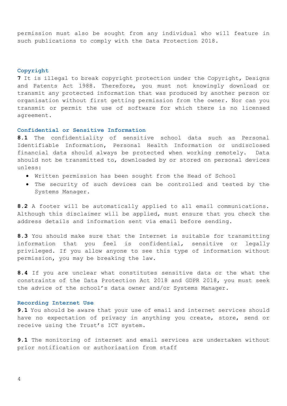permission must also be sought from any individual who will feature in such publications to comply with the Data Protection 2018.

## **Copyright**

**7** It is illegal to break copyright protection under the Copyright, Designs and Patents Act 1988. Therefore, you must not knowingly download or transmit any protected information that was produced by another person or organisation without first getting permission from the owner. Nor can you transmit or permit the use of software for which there is no licensed agreement.

# **Confidential or Sensitive Information**

**8.1** The confidentiality of sensitive school data such as Personal Identifiable Information, Personal Health Information or undisclosed financial data should always be protected when working remotely. Data should not be transmitted to, downloaded by or stored on personal devices unless:

- Written permission has been sought from the Head of School
- The security of such devices can be controlled and tested by the Systems Manager.

**8.2** A footer will be automatically applied to all email communications. Although this disclaimer will be applied, must ensure that you check the address details and information sent via email before sending.

**8.3** You should make sure that the Internet is suitable for transmitting information that you feel is confidential, sensitive or legally privileged. If you allow anyone to see this type of information without permission, you may be breaking the law.

**8.4** If you are unclear what constitutes sensitive data or the what the constraints of the Data Protection Act 2018 and GDPR 2018, you must seek the advice of the school's data owner and/or Systems Manager.

# **Recording Internet Use**

**9.1** You should be aware that your use of email and internet services should have no expectation of privacy in anything you create, store, send or receive using the Trust's ICT system.

**9.1** The monitoring of internet and email services are undertaken without prior notification or authorisation from staff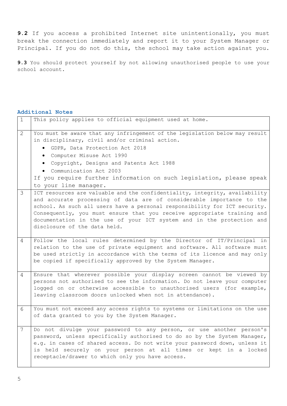**9.2** If you access a prohibited Internet site unintentionally, you must break the connection immediately and report it to your System Manager or Principal. If you do not do this, the school may take action against you.

**9.3** You should protect yourself by not allowing unauthorised people to use your school account.

#### **Additional Notes**

| $\mathbf{1}$    | This policy applies to official equipment used at home.                                                                                                                                                                                                                                                                                                                                                                |
|-----------------|------------------------------------------------------------------------------------------------------------------------------------------------------------------------------------------------------------------------------------------------------------------------------------------------------------------------------------------------------------------------------------------------------------------------|
| 2               | You must be aware that any infringement of the legislation below may result<br>in disciplinary, civil and/or criminal action.<br>GDPR, Data Protection Act 2018<br>· Computer Misuse Act 1990<br>• Copyright, Designs and Patents Act 1988<br>• Communication Act 2003<br>If you require further information on such legislation, please speak<br>to your line manager.                                                |
| 3               | ICT resources are valuable and the confidentiality, integrity, availability<br>and accurate processing of data are of considerable importance to the<br>school. As such all users have a personal responsibility for ICT security.<br>Consequently, you must ensure that you receive appropriate training and<br>documentation in the use of your ICT system and in the protection and<br>disclosure of the data held. |
| 4               | Follow the local rules determined by the Director of IT/Principal in<br>relation to the use of private equipment and software. All software must<br>be used strictly in accordance with the terms of its licence and may only<br>be copied if specifically approved by the System Manager.                                                                                                                             |
| 4               | Ensure that wherever possible your display screen cannot be viewed by<br>persons not authorised to see the information. Do not leave your computer<br>logged on or otherwise accessible to unauthorised users (for example,<br>leaving classroom doors unlocked when not in attendance).                                                                                                                               |
| 6               | You must not exceed any access rights to systems or limitations on the use<br>of data granted to you by the System Manager.                                                                                                                                                                                                                                                                                            |
| $7\overline{ }$ | Do not divulge your password to any person, or use another person's<br>password, unless specifically authorised to do so by the System Manager,<br>e.g. in cases of shared access. Do not write your password down, unless it<br>is held securely on your person at all times or kept in a locked<br>receptacle/drawer to which only you have access.                                                                  |